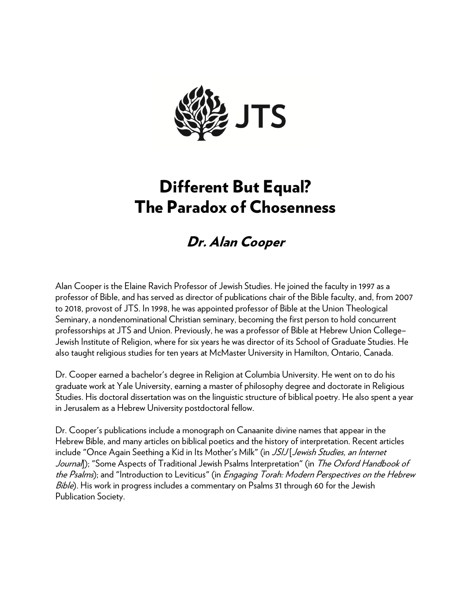

# Different But Equal? The Paradox of Chosenness

# Dr. Alan Cooper

Alan Cooper is the Elaine Ravich Professor of Jewish Studies. He joined the faculty in 1997 as a professor of Bible, and has served as director of publications chair of the Bible faculty, and, from 2007 to 2018, provost of JTS. In 1998, he was appointed professor of Bible at the Union Theological Seminary, a nondenominational Christian seminary, becoming the first person to hold concurrent professorships at JTS and Union. Previously, he was a professor of Bible at Hebrew Union College– Jewish Institute of Religion, where for six years he was director of its School of Graduate Studies. He also taught religious studies for ten years at McMaster University in Hamilton, Ontario, Canada.

Dr. Cooper earned a bachelor's degree in Religion at Columbia University. He went on to do his graduate work at Yale University, earning a master of philosophy degree and doctorate in Religious Studies. His doctoral dissertation was on the linguistic structure of biblical poetry. He also spent a year in Jerusalem as a Hebrew University postdoctoral fellow.

Dr. Cooper's publications include a monograph on Canaanite divine names that appear in the Hebrew Bible, and many articles on biblical poetics and the history of interpretation. Recent articles include "Once Again Seething a Kid in Its Mother's Milk" (in JSIJ Jewish Studies, an Internet Journal); "Some Aspects of Traditional Jewish Psalms Interpretation" (in The Oxford Handbook of the Psalms); and "Introduction to Leviticus" (in *Engaging Torah: Modern Perspectives on the Hebrew* Bible). His work in progress includes a commentary on Psalms 31 through 60 for the Jewish Publication Society.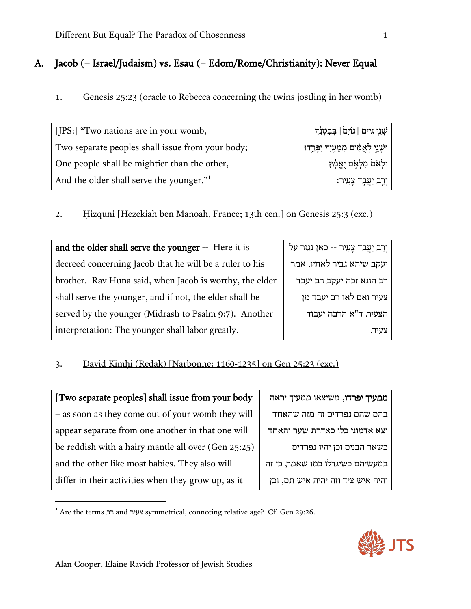# A. Jacob (= Israel/Judaism) vs. Esau (= Edom/Rome/Christianity): Never Equal

## 1. Genesis 25:23 (oracle to Rebecca concerning the twins jostling in her womb)

| [IPS:] "Two nations are in your womb,            | ּשְׁנֵיִ גיים [גוֹיִם] בִּבְטְנֵדְ       |
|--------------------------------------------------|------------------------------------------|
| Two separate peoples shall issue from your body; | וּשָׁנֵי לְאָמִים מִמֵּעַיִךְ יִפָּרֵדוּ |
| One people shall be mightier than the other,     | וּלְאַם מִלְאָם יֵאֱמָץ                  |
| And the older shall serve the younger."          | וַרֵב יַעֲבְד צָעֶיר:                    |

# 2. Ḥizquni [Hezekiah ben Manoah, France; 13th cen.] on Genesis 25:3 (exc.)

| and the older shall serve the younger -- Here it is     | וְרַב יַעֲבֹד צָעִיר -- כאן נגזר על |
|---------------------------------------------------------|-------------------------------------|
| decreed concerning Jacob that he will be a ruler to his | יעקב שיהא גביר לאחיו. אמר           |
| brother. Rav Huna said, when Jacob is worthy, the elder | רב הונא זכה יעקב רב יעבד            |
| shall serve the younger, and if not, the elder shall be | צעיר ואם לאו רב יעבד מן             |
| served by the younger (Midrash to Psalm 9:7). Another   | הצעיר. ד"א הרבה יעבוד               |
| interpretation: The younger shall labor greatly.        | צעיר.                               |

# 3. David Kimhi (Redak) [Narbonne; 1160-1235] on Gen 25:23 (exc.)

| [Two separate peoples] shall issue from your body   |
|-----------------------------------------------------|
| - as soon as they come out of your womb they will   |
| appear separate from one another in that one will   |
| be reddish with a hairy mantle all over (Gen 25:25) |
| and the other like most babies. They also will      |
| differ in their activities when they grow up, as it |

| <b>ממעיך יפרדו,</b> משיצאו ממעיך יראה |
|---------------------------------------|
| בהם שהם נפרדים זה מזה שהאחד           |
| יצא אדמוני כלו כאדרת שער והאחד        |
| כשאר הבנים וכן יהיו נפרדים            |
| במעשיהם כשיגדלו כמו שאמר, כי זה       |
| יהיה איש ציד וזה יהיה איש תם, וכז     |

<span id="page-1-0"></span><sup>1</sup> Are the terms רב and צעיר symmetrical, connoting relative age? Cf. Gen 29:26.



 $\overline{\phantom{a}}$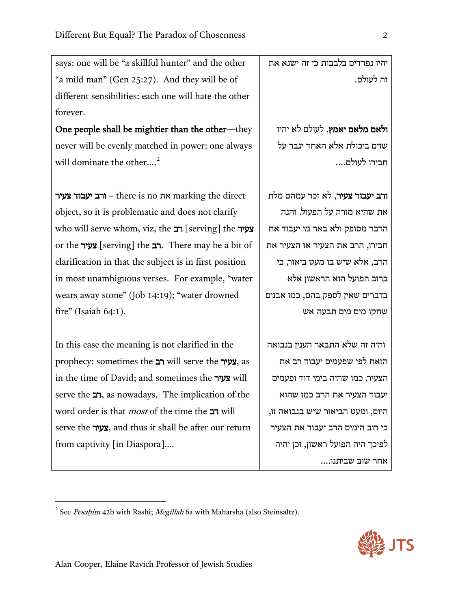says: one will be "a skillful hunter" and the other "a mild man" (Gen 25:27). And they will be of different sensibilities: each one will hate the other forever.

One people shall be mightier than the other—they never will be evenly matched in power: one always will dominate the other....<sup>[2](#page-2-0)</sup>

את  $-$  there is no את marking the direct object, so it is problematic and does not clarify who will serve whom, viz, the רב [serving] the צעיר or the **געיר** [serving] the רב. There may be a bit of clarification in that the subject is in first position in most unambiguous verses. For example, "water wears away stone" (Job 14:19); "water drowned fire" (Isaiah 64:1).

In this case the meaning is not clarified in the prophecy: sometimes the רב will serve the צעיר, as in the time of David; and sometimes the צעיר will serve the רב, as nowadays. The implication of the word order is that most of the time the רב will serve the צעיר, and thus it shall be after our return from captivity [in Diaspora]….

יהיו נפרדים בלבבות כי זה ישנא את זה לעולם.

ולאם מלאם יאמץ, לעולם לא יהיו שוים ביכולת אלא האחד יגבר על חבירו לעולם....

ורב יעבוד צעיר, לא זכר עמהם מלת את שהיא מורה על הפעול. והנה הדבר מסופק ולא באר מי יעבוד את חבירו, הרב את הצעיר או הצעיר את הרב, אלא שיש בו מעט ביאור, כי ברוב הפועל הוא הראשון אלא ב דברים שאין לספק בהם, כמו אבנים שחקו מים מים תבעה אש

והיה זה שלא התבאר הענין בנבואה הזאת לפי שפעמים יעבוד רב את הצעיר, כמו שהיה בימי דוד ופעמים יעבוד הצעיר את הרב כמו שהוא היום, ומעט הביאור שיש בנבואה זו, כי רוב הימים הרב יעבוד את הצעיר לפיכך היה הפועל רא שון, וכן יהיה אחר שוב שביתנו....



 $\overline{\phantom{a}}$ 

<span id="page-2-0"></span><sup>&</sup>lt;sup>2</sup> See Pesaḥim 42b with Rashi; Megillah 6a with Maharsha (also Steinsaltz).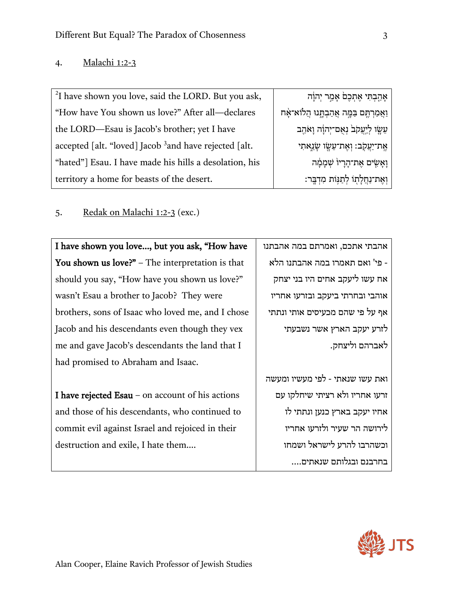#### 4. Malachi 1:2-3

| <sup>2</sup> I have shown you love, said the LORD. But you ask, | אָהַבְתִּי אֶתְכֶם אָמַר יְהוָה             |
|-----------------------------------------------------------------|---------------------------------------------|
| "How have You shown us love?" After all-declares                | וַאֲמַרְתֶּם בַּמֱה אֲהַבְתֶּנוּ הֲלוֹא־אָח |
| the LORD-Esau is Jacob's brother; yet I have                    | עֵשָׂו לַיְעֲקֹבׂ נִאָם־יְהוָׂה וָאֹהָב     |
| accepted [alt. "loved] Jacob $3$ and have rejected [alt.        | אֵת־יַעֲקֹב: וְאֵת־עֵשֶׂוּ שֶׂנֵאתִי        |
| "hated"] Esau. I have made his hills a desolation, his          | וַאֲשִׂים אֱת־הָרָיוֹ שִׁמְמָׂה             |
| territory a home for beasts of the desert.                      | וְאֶת־נַחֲלָתְוֹ לְתַנְּוֹת מִדְבֶּר:       |

#### 5. Redak on Malachi 1:2-3 (exc.)

I have shown you love…, but you ask, "How have You shown us love?" – The interpretation is that should you say, "How have you shown us love?" wasn't Esau a brother to Jacob? They were brothers, sons of Isaac who loved me, and I chose Jacob and his descendants even though they vex me and gave Jacob's descendants the land that I had promised to Abraham and Isaac.

I have rejected Esau – on account of his actions and those of his descendants, who continued to commit evil against Israel and rejoiced in their destruction and exile, I hate them….

אהבתי אתכם, ואמרתם במה אהבתנו - פי' ואם תאמרו במה אהבתנו הלא אח עשו ליעקב אחים היו בני יצחק אוהבי ובחרתי ביעקב ובזרעו אחריו אף על פי שהם מכעיסים אותי ונתתי לזרע יעקב הארץ אשר נשבעתי לאברהם וליצחק.

ואת עשו שנאתי - לפי מעשיו ומעשה זרעו אחריו ולא רציתי שיחלקו עם אחיו יעקב בארץ כנען ונתתי לו לירושה הר שעיר ולזרעו אחריו וכשהרבו להרע לישראל ושמחו בחרבנם ובגלותם שנאתים....

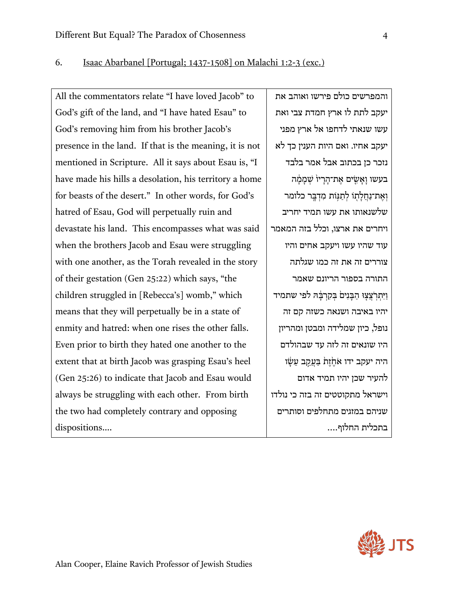#### 6. Isaac Abarbanel [Portugal; 1437-1508] on Malachi 1:2-3 (exc.)

All the commentators relate "I have loved Jacob" to God's gift of the land, and "I have hated Esau" to God's removing him from his brother Jacob's presence in the land. If that is the meaning, it is not mentioned in Scripture. All it says about Esau is, "I have made his hills a desolation, his territory a home for beasts of the desert." In other words, for God's hatred of Esau, God will perpetually ruin and devastate his land. This encompasses what was said when the brothers Jacob and Esau were struggling with one another, as the Torah revealed in the story of their gestation (Gen 25:22) which says, "the children struggled in [Rebecca's] womb," which means that they will perpetually be in a state of enmity and hatred: when one rises the other falls. Even prior to birth they hated one another to the extent that at birth Jacob was grasping Esau's heel (Gen 25:26) to indicate that Jacob and Esau would always be struggling with each other. From birth the two had completely contrary and opposing dispositions….

והמפרשים כולם פירשו ואוהב את יעקב לתת לו ארץ חמדת צבי ואת עשו שנאתי לדחפו אל ארץ מפני יעקב אחיו. ואם היות הענין כך לא נזכר כן בכתוב אבל אמר בלבד בעשו וַאֲשִׂים אֱת־הַרַיוֹ שִׁמַמָּה וְ אֶת־נַחֲלֹתוֹ לְתִנּוֹת מִדְבֵּר כלומר שלשנאותו את עשו תמיד יחריב ויחרים את ארצו, וכלל בזה המאמר עוד שהיו עשו ויעקב אחים והיו צוררים זה את זה כמו שגלתה התורה בספור הריונם שאמר וַיִּתְרִצֲצָוּ הַבְּנִים בְּקִרְבָּה לפי שתמיד יהיו באיבה ושנאה כשזה קם זה נופל, כיון שמלידה ומבטן ומהריון היו שונאים זה לזה עד שבהולדם היה יעקב ידו אֹחֱזֶת בַּעֲקָב עֵשָׂו להעיר שכן יהיו תמיד אדום וישראל מתקוטטים זה בזה כי נולדו שניהם במזגים מתחלפים וסותרים בתכלית החלוף....

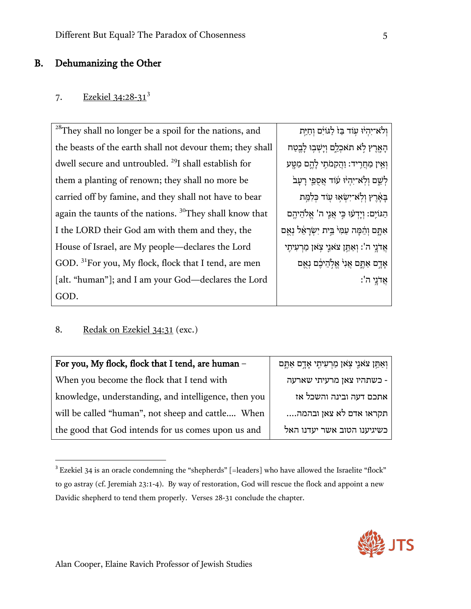#### B. Dehumanizing the Other

#### 7. Ezekiel [3](#page-5-0)4:28-31<sup>3</sup>

<sup>28</sup>They shall no longer be a spoil for the nations, and the beasts of the earth shall not devour them; they shall dwell secure and untroubled. <sup>29</sup>I shall establish for them a planting of renown; they shall no more be carried off by famine, and they shall not have to bear again the taunts of the nations. 30They shall know that I the LORD their God am with them and they, the House of Israel, are My people—declares the Lord GOD. 31For you, My flock, flock that I tend, are men [alt. "human"]; and I am your God—declares the Lord GOD. וְלֹא־יִהְיֹוּ עִוֹד בַּזֹ לַגּוֹיִם וְחַיֵּת הַאֲרֶץ לָא תֹאכְלֶם וְיַשְׁבִוּ לַבֵטַח וְאֵין מַחֲרֵיד: וַהֲקָמֹתֵי לַהֱם מַטֵּע לְשֵׁם וְלָא־יְהִיוּ עוֹד אֲסְפֵי רַעַבֹ בְּאֶרֶץ וְלְא<sup>ַ-</sup>יִשְׂאִוּ עְוֹד כְּלִמֵּת הגּוֹיָם: וִידְעָוּ כִּי אָנֵי ה' אֱלֹהֱיהֶם אִתָּם וְהֵמֵה עַמְּי<sup>ּ</sup> בֵּית יְשָׂרָאֵל נִאָם ְאֲ דֹנֵי ה': וְאָתֵּן צֹאנֵי צְאַן מַרְעִיתֵי אַדָם אָתֶּם אֲנִ<sup>וּ</sup> אֱלְהֵיכֶּם נִאֲם  $:$ ה': ה

8. Redak on Ezekiel 34:31 (exc.)

| For you, My flock, flock that I tend, are human -    | וְאַתֵּן צֹאנֵי צְאַן מַרְעִיתֶי אָדֶם אַתֱם |
|------------------------------------------------------|----------------------------------------------|
| When you become the flock that I tend with           | כשתהיו צאן מרעיתי שארעה -                    |
| knowledge, understanding, and intelligence, then you | אתכם דעה ובינה והשכל אז                      |
| will be called "human", not sheep and cattle When    | תקראו אדם לא צאן ובהמה                       |
| the good that God intends for us comes upon us and   | כשיגיענו הטוב אשר יעדנו האל                  |

<span id="page-5-0"></span> $3$  Ezekiel 34 is an oracle condemning the "shepherds" [=leaders] who have allowed the Israelite "flock" to go astray (cf. Jeremiah 23:1-4). By way of restoration, God will rescue the flock and appoint a new Davidic shepherd to tend them properly. Verses 28-31 conclude the chapter.

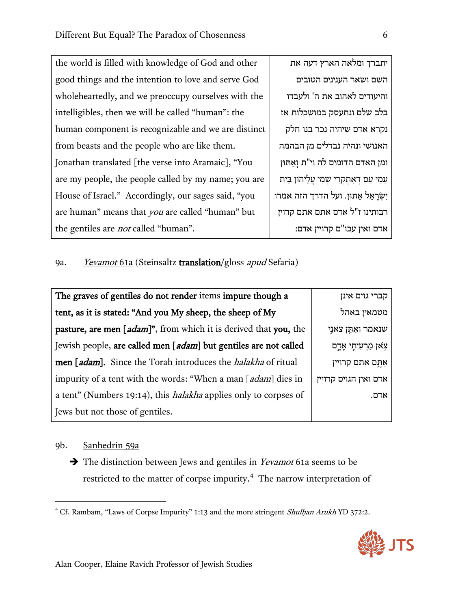| the world is filled with knowledge of God and other     | וארץ דעה את              |
|---------------------------------------------------------|--------------------------|
| good things and the intention to love and serve God     | ינים הטובים              |
| wholeheartedly, and we preoccupy ourselves with the     | : את ה' ולעבדו           |
| intelligibles, then we will be called "human": the      | זק במושכלות אז           |
| human component is recognizable and we are distinct     | 'ה נכר בנו חלק           |
| from beasts and the people who are like them.           | בדלים מן הבהמה           |
| Jonathan translated [the verse into Aramaic], "You      | ים לה וי"ת וְאַתּוּן     |
| are my people, the people called by my name; you are    | י שִׁמְי עֲלֵיהוֹן בֵּית |
| House of Israel." Accordingly, our sages said, "you     | ל הדרך הזה אמרו,         |
| are human" means that <i>you</i> are called "human" but | ז אתם אתם קרוין          |
| the gentiles are <i>not</i> called "human".             | קרויין אדם:              |

יתברך ומלאה ה השם ושאר העני והיעודים לאהוב בלב שלם ונתעס נקרא אדם שיהי האנושי ונהיה נו ומן האדם הדומי עַמִי עַם דְאִתְקְרֵי יִשְׂרַאֵל אַתּוּן. וע רבותינו ז"ל אדכ אדם ואין עכו"ם

# 9a. Yevamot 61a (Steinsaltz translation/gloss apud Sefaria)

| The graves of gentiles do not render items impure though a              | קברי גוים אינן        |
|-------------------------------------------------------------------------|-----------------------|
| tent, as it is stated: "And you My sheep, the sheep of My               | מטמאין באהל           |
| pasture, are men [adam]", from which it is derived that you, the        | שנאמר וְאַחֵן צֹאנֵי  |
| Jewish people, are called men [adam] but gentiles are not called        | צאן מַרְעִיתֶי אָדֶם  |
| men [adam]. Since the Torah introduces the <i>halakha</i> of ritual     | אַתֵּם אתם קרויין     |
| impurity of a tent with the words: "When a man [adam] dies in           | אדם ואין הגוים קרויין |
| a tent" (Numbers 19:14), this <i>halakha</i> applies only to corpses of | אדם.                  |
| Jews but not those of gentiles.                                         |                       |

#### 9b. Sanhedrin 59a

 $\overline{\phantom{a}}$ 

The distinction between Jews and gentiles in *Yevamot* 61a seems to be restricted to the matter of corpse impurity.<sup>4</sup> The narrow interpretation of

<sup>&</sup>lt;sup>4</sup> Cf. Rambam, "Laws of Corpse Impurity" 1:13 and the more stringent *Shulhan Arukh* YD 372:2.

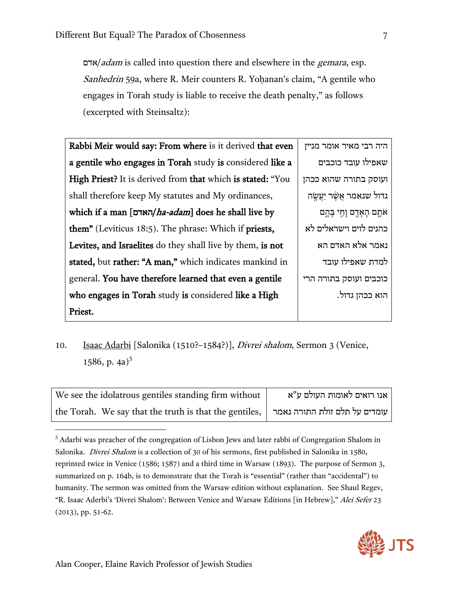אדם $\alpha$ /*adam* is called into question there and elsewhere in the *gemara*, esp. Sanhedrin 59a, where R. Meir counters R. Yohanan's claim, "A gentile who engages in Torah study is liable to receive the death penalty," as follows (excerpted with Steinsaltz):

| Rabbi Meir would say: From where is it derived that even   | היה רבי מאיר אומר מניין    |
|------------------------------------------------------------|----------------------------|
| a gentile who engages in Torah study is considered like a  | שאפילו עובד כוכבים         |
| High Priest? It is derived from that which is stated: "You | ועוסק בתורה שהוא ככהן      |
| shall therefore keep My statutes and My ordinances,        | גדול שנאמר אֲשֶׁר יַעֲשֱה  |
| which if a man [האדם/ha-adam] does he shall live by        | אֹתֱם הָאָדֶם וָחַי בָּהֱם |
| them" (Leviticus 18:5). The phrase: Which if priests,      | כהנים לוים וישראלים לא     |
| Levites, and Israelites do they shall live by them, is not | נאמר אלא האדם הא           |
| stated, but rather: "A man," which indicates mankind in    | למדת שאפילו עובד           |
| general. You have therefore learned that even a gentile    | כוכבים ועוסק בתורה הרי     |
| who engages in Torah study is considered like a High       | הוא ככהן גדול.             |
| Priest.                                                    |                            |

10. Isaac Adarbi [Salonika (1510?-1584?)], *Divrei shalom*, Sermon 3 (Venice, 1586, p. 4a)<sup>5</sup>

| We see the idolatrous gentiles standing firm without   | אנו רואים לאומות העולם ע"א    |
|--------------------------------------------------------|-------------------------------|
| the Torah. We say that the truth is that the gentiles, | עומדים על תלם זולת התורה נאמר |

<sup>&</sup>lt;sup>5</sup> Adarbi was preacher of the congregation of Lisbon Jews and later rabbi of Congregation Shalom in Salonika. Divrei Shalom is a collection of 30 of his sermons, first published in Salonika in 1580, reprinted twice in Venice (1586; 1587) and a third time in Warsaw (1893). The purpose of Sermon 3, summarized on p. 164b, is to demonstrate that the Torah is "essential" (rather than "accidental") to humanity. The sermon was omitted from the Warsaw edition without explanation. See Shaul Regev, "R. Isaac Aderbi's 'Divrei Shalom': Between Venice and Warsaw Editions [in Hebrew]," Alei Sefer 23 (2013), pp. 51-62.



l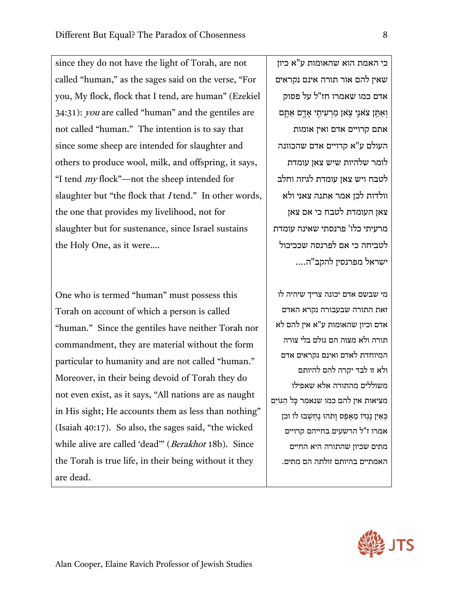since they do not have the light of Torah, are not called "human," as the sages said on the verse, "For you, My flock, flock that I tend, are human" (Ezekiel 34:31): you are called "human" and the gentiles are not called "human." The intention is to say that since some sheep are intended for slaughter and others to produce wool, milk, and offspring, it says, "I tend my flock"—not the sheep intended for slaughter but "the flock that *I* tend." In other words, the one that provides my livelihood, not for slaughter but for sustenance, since Israel sustains the Holy One, as it were….

One who is termed "human" must possess this Torah on account of which a person is called "human." Since the gentiles have neither Torah nor commandment, they are material without the form particular to humanity and are not called "human." Moreover, in their being devoid of Torah they do not even exist, as it says, "All nations are as naught in His sight; He accounts them as less than nothing" (Isaiah 40:17). So also, the sages said, "the wicked while alive are called 'dead" (Berakhot 18b). Since the Torah is true life, in their being without it they are dead.

כי האמת הוא שהאומות ע"א כיון שאין להם אור תורה אינם נקראים אדם כמו שאמרו חז"ל על פסוק וְאַתֵּן צֹאנֵי צָאו מַרְעִיתֵי אָדֵם אַתֵּם את ם קרויים אדם ואין אומות העולם ע"א קרויים א דם שהכוונה לומר שלהיות שיש צאן עומדת לטבח ויש צאן עומדת לגיזה וחלב וולדות לכן אמר אתנה צאני ולא צאן העומדת לטבח כי אם צאן מרעיתי כלו' פרנסתי שאינה עומדת לטביחה כי אם לפרנסה שככיכול ישראל מפרנסין להקב"ה....

מי שבשם אדם יכונה צריך שיהיה לו זאת התורה שבעבורה נקרא האדם אדם וכיון שהאומות ע"א אין להם לא תורה ולא מצוה הם גולם בלי צורה המיוחדת לאדם ואינם גקראים אדם ולא זו לבד יקרה להם להיותם משוללים מהתורה אלא שאפ ילו מציאות אין להם כמו שנאמר כָּ ל הַ גּוֹיִם כְּאַיְן נֶגְדּוֹ מֵאֱפֶס וַתֹהוּ נֵחְשְׁבוּ לוֹ וכן אמרו ז"ל הרשעים בחייהם קרויים מתים שכיון שהתורה היא החיים האמתיים בהיותם זולתה הם מתים.

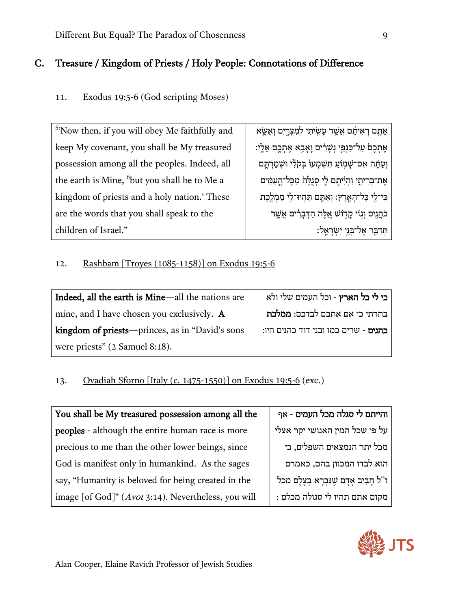# C. Treasure / Kingdom of Priests / Holy People: Connotations of Difference

# 11. Exodus 19:5-6 (God scripting Moses)

| <sup>5</sup> 'Now then, if you will obey Me faithfully and | אַתֶּם רְאִיתֶם אֲשֶׁר עָשֶׂיתִי לְמִצְרֱיִם וְאֶשֶׂא     |
|------------------------------------------------------------|-----------------------------------------------------------|
| keep My covenant, you shall be My treasured                | אֶתְכֶם עַל־כַּנְפֵי נְשָׁרִים וָאָבֶא אֶתְכֶם אֵלֶי:     |
| possession among all the peoples. Indeed, all              | וְעַתָּה אִם־שָׁמְוֹעַ תִּשְׁמְעוּ בְּקֹלִי וּשְׁמַרְתֶּם |
| the earth is Mine, but you shall be to Me a                | אֵת־בִּרִיתֶי וְהִיִּיתֵם לֵי סְגֶלָּהֹ מִכָּל־הָעַמִּים  |
| kingdom of priests and a holy nation.' These               | כִּי־לֶי כְּל־הָאֲרֶץ: וְאַתֶּם תִּהְיוּ־לֵי מַמְלֵבֵת    |
| are the words that you shall speak to the                  | ּ כֹּהֲנִים וְגִוֹי קָדְוֹשׁ אֱלֶה הַדְּבָרִים אֲשֶׁר     |
| children of Israel."                                       | ּתְּדַבֵּר אֶל־בְּנֵי יִשְׂרָאֵל:                         |

# 12. Rashbam [Troyes (1085-1158)] on Exodus 19:5-6

| Indeed, all the earth is Mine—all the nations are | כי לי כל הארץ - וכל העמים שלי ולא    |
|---------------------------------------------------|--------------------------------------|
| mine, and I have chosen you exclusively. A        | בחרתי כי אם אתכם לבדכם: ממלכת        |
| kingdom of priests—princes, as in "David's sons   | כהנים - שרים כמו ובני דוד כהנים היו: |
| were priests" (2 Samuel 8:18).                    |                                      |

# 13. Ovadiah Sforno [Italy (c. 1475-1550)] on Exodus 19:5-6 (exc.)

| You shall be My treasured possession among all the  | והייתם לי סגלה מכל העמים - אף            |
|-----------------------------------------------------|------------------------------------------|
| peoples - although the entire human race is more    | על פי שכל המין האנושי יקר אצלי           |
| precious to me than the other lower beings, since   | מכל יתר הנמצאים השפלים, כי               |
| God is manifest only in humankind. As the sages     | הוא לבדו המכוון בהם, כאמרם               |
| say, "Humanity is beloved for being created in the  | ז"ל חָבִיב אָדָם שֶׁנִּבְרָא בְצֶלֶם מכל |
| image [of God]" (Avot 3:14). Nevertheless, you will | מקום אתם תהיו לי סגולה מכלם :            |

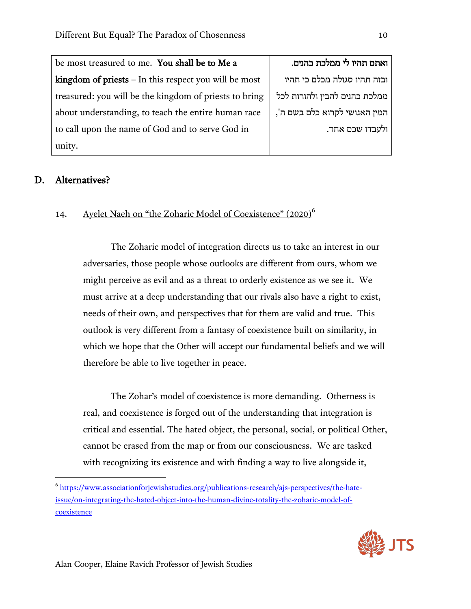be most treasured to me. You shall be to Me a kingdom of priests – In this respect you will be most treasured: you will be the kingdom of priests to bring about understanding, to teach the entire human race to call upon the name of God and to serve God in unity.

## ואתם תהיו לי ממלכת כהנים.

ובזה תהיו סגולה מכלם כי תהיו ממלכת כהנים להבין ולהורות לכל המין האנושי לקרוא כלם בשם ה', ולעבדו שכם אחד.

#### D. Alternatives?

l

### 14. Ayelet Naeh on "the Zoharic Model of Coexistence" (2020)<sup>6</sup>

The Zoharic model of integration directs us to take an interest in our adversaries, those people whose outlooks are different from ours, whom we might perceive as evil and as a threat to orderly existence as we see it. We must arrive at a deep understanding that our rivals also have a right to exist, needs of their own, and perspectives that for them are valid and true. This outlook is very different from a fantasy of coexistence built on similarity, in which we hope that the Other will accept our fundamental beliefs and we will therefore be able to live together in peace.

The Zohar's model of coexistence is more demanding. Otherness is real, and coexistence is forged out of the understanding that integration is critical and essential. The hated object, the personal, social, or political Other, cannot be erased from the map or from our consciousness. We are tasked with recognizing its existence and with finding a way to live alongside it,

 $^6$  [https://www.associationforjewishstudies.org/publications-research/ajs-perspectives/the-hate](https://www.associationforjewishstudies.org/publications-research/ajs-perspectives/the-hate-issue/on-integrating-the-hated-object-into-the-human-divine-totality-the-zoharic-model-of-coexistence)[issue/on-integrating-the-hated-object-into-the-human-divine-totality-the-](https://www.associationforjewishstudies.org/publications-research/ajs-perspectives/the-hate-issue/on-integrating-the-hated-object-into-the-human-divine-totality-the-zoharic-model-of-coexistence)zoharic-model-of**[coexistence](https://www.associationforjewishstudies.org/publications-research/ajs-perspectives/the-hate-issue/on-integrating-the-hated-object-into-the-human-divine-totality-the-zoharic-model-of-coexistence)** 

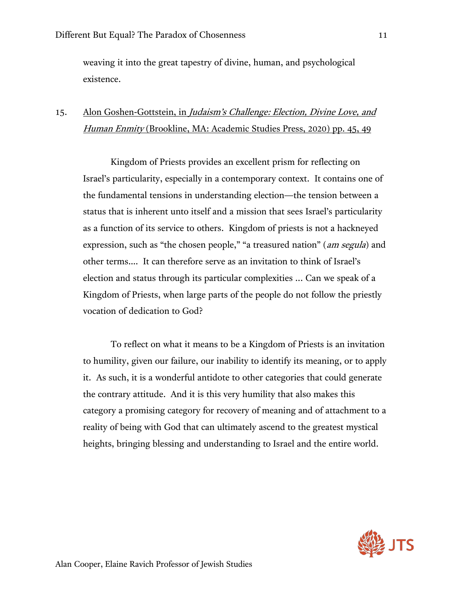weaving it into the great tapestry of divine, human, and psychological existence.

# 15. Alon Goshen-Gottstein, in *Judaism's Challenge: Election, Divine Love, and* Human Enmity (Brookline, MA: Academic Studies Press, 2020) pp. 45, 49

Kingdom of Priests provides an excellent prism for reflecting on Israel's particularity, especially in a contemporary context. It contains one of the fundamental tensions in understanding election—the tension between a status that is inherent unto itself and a mission that sees Israel's particularity as a function of its service to others. Kingdom of priests is not a hackneyed expression, such as "the chosen people," "a treasured nation" (*am segula*) and other terms…. It can therefore serve as an invitation to think of Israel's election and status through its particular complexities ... Can we speak of a Kingdom of Priests, when large parts of the people do not follow the priestly vocation of dedication to God?

To reflect on what it means to be a Kingdom of Priests is an invitation to humility, given our failure, our inability to identify its meaning, or to apply it. As such, it is a wonderful antidote to other categories that could generate the contrary attitude. And it is this very humility that also makes this category a promising category for recovery of meaning and of attachment to a reality of being with God that can ultimately ascend to the greatest mystical heights, bringing blessing and understanding to Israel and the entire world.